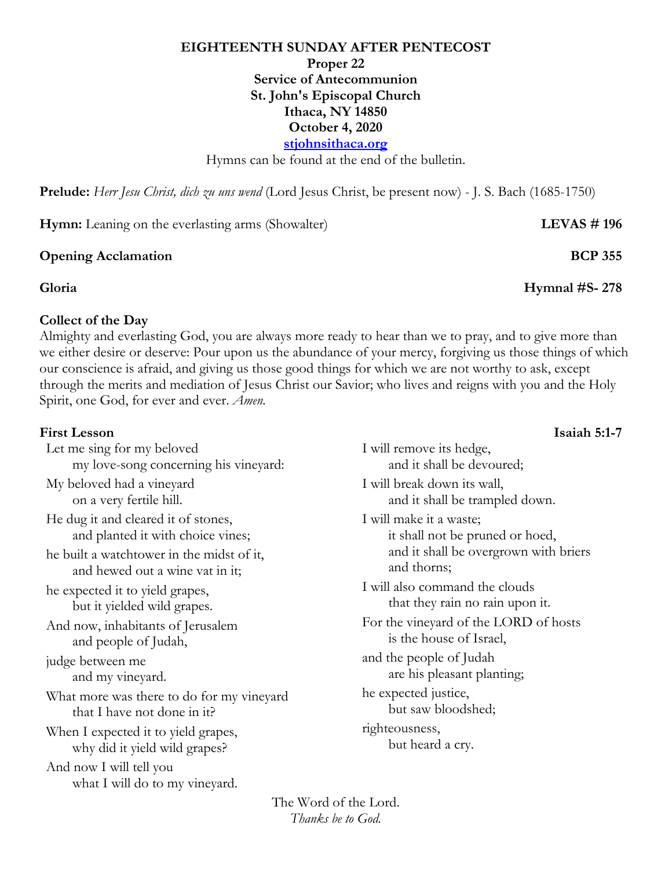### **EIGHTEENTH SUNDAY AFTER PENTECOST**

**Proper 22**

**Service of Antecommunion**

**St. John's Episcopal Church**

**Ithaca, NY 14850**

**October 4, 2020**

**stjohnsithaca.org**

Hymns can be found at the end of the bulletin.

**Prelude:** *Herr Jesu Christ, dich zu uns wend* (Lord Jesus Christ, be present now) - J. S. Bach (1685-1750)

**Hymn:** Leaning on the everlasting arms (Showalter) **LEVAS # 196** 

### **Opening Acclamation BCP 355**

**Collect of the Day** 

Almighty and everlasting God, you are always more ready to hear than we to pray, and to give more than we either desire or deserve: Pour upon us the abundance of your mercy, forgiving us those things of which our conscience is afraid, and giving us those good things for which we are not worthy to ask, except through the merits and mediation of Jesus Christ our Savior; who lives and reigns with you and the Holy Spirit, one God, for ever and ever. *Amen.*

## **First Lesson Isaiah 5:1-7**

Let me sing for my beloved my love-song concerning his vineyard: My beloved had a vineyard on a very fertile hill. He dug it and cleared it of stones, and planted it with choice vines; he built a watchtower in the midst of it, and hewed out a wine vat in it; he expected it to yield grapes, but it yielded wild grapes. And now, inhabitants of Jerusalem and people of Judah, judge between me and my vineyard. What more was there to do for my vineyard that I have not done in it? When I expected it to yield grapes, why did it yield wild grapes? And now I will tell you what I will do to my vineyard.

| I will remove its hedge,              |
|---------------------------------------|
| and it shall be devoured;             |
| I will break down its wall,           |
| and it shall be trampled down.        |
| I will make it a waste;               |
| it shall not be pruned or hoed,       |
| and it shall be overgrown with briers |
| and thorns;                           |
| I will also command the clouds        |
| that they rain no rain upon it.       |
| For the vineyard of the LORD of hosts |
| is the house of Israel,               |
| and the people of Judah               |
| are his pleasant planting;            |
| he expected justice,                  |
| but saw bloodshed;                    |
| righteousness,                        |
| but heard a cry.                      |

The Word of the Lord. *Thanks be to God.*

**Gloria Hymnal #S- 278**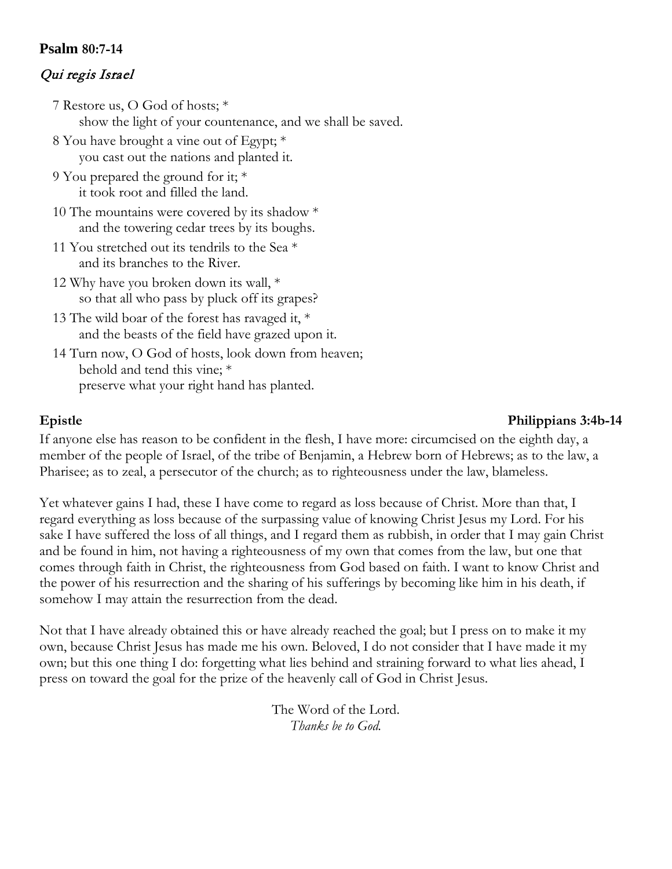## **Psalm 80:7-14**

# Qui regis Israel

- 7 Restore us, O God of hosts; \* show the light of your countenance, and we shall be saved.
- 8 You have brought a vine out of Egypt; \* you cast out the nations and planted it.
- 9 You prepared the ground for it; \* it took root and filled the land.
- 10 The mountains were covered by its shadow \* and the towering cedar trees by its boughs.
- 11 You stretched out its tendrils to the Sea \* and its branches to the River.
- 12 Why have you broken down its wall, \* so that all who pass by pluck off its grapes?
- 13 The wild boar of the forest has ravaged it, \* and the beasts of the field have grazed upon it.
- 14 Turn now, O God of hosts, look down from heaven; behold and tend this vine; \* preserve what your right hand has planted.

## **Epistle Philippians 3:4b-14**

If anyone else has reason to be confident in the flesh, I have more: circumcised on the eighth day, a member of the people of Israel, of the tribe of Benjamin, a Hebrew born of Hebrews; as to the law, a Pharisee; as to zeal, a persecutor of the church; as to righteousness under the law, blameless.

Yet whatever gains I had, these I have come to regard as loss because of Christ. More than that, I regard everything as loss because of the surpassing value of knowing Christ Jesus my Lord. For his sake I have suffered the loss of all things, and I regard them as rubbish, in order that I may gain Christ and be found in him, not having a righteousness of my own that comes from the law, but one that comes through faith in Christ, the righteousness from God based on faith. I want to know Christ and the power of his resurrection and the sharing of his sufferings by becoming like him in his death, if somehow I may attain the resurrection from the dead.

Not that I have already obtained this or have already reached the goal; but I press on to make it my own, because Christ Jesus has made me his own. Beloved, I do not consider that I have made it my own; but this one thing I do: forgetting what lies behind and straining forward to what lies ahead, I press on toward the goal for the prize of the heavenly call of God in Christ Jesus.

> The Word of the Lord. *Thanks be to God.*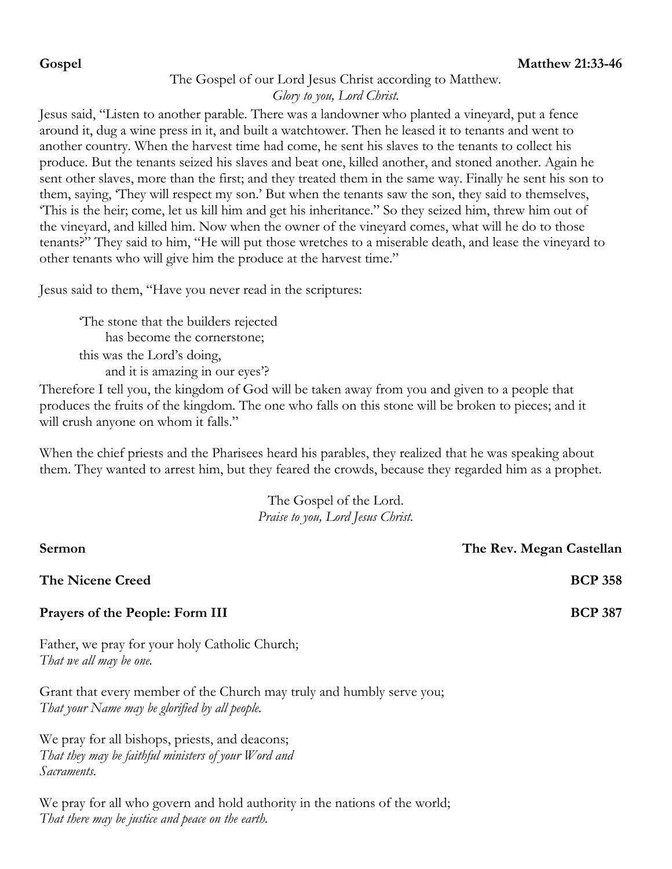### The Gospel of our Lord Jesus Christ according to Matthew. *Glory to you, Lord Christ.*

Jesus said, "Listen to another parable. There was a landowner who planted a vineyard, put a fence around it, dug a wine press in it, and built a watchtower. Then he leased it to tenants and went to another country. When the harvest time had come, he sent his slaves to the tenants to collect his produce. But the tenants seized his slaves and beat one, killed another, and stoned another. Again he sent other slaves, more than the first; and they treated them in the same way. Finally he sent his son to them, saying, 'They will respect my son.' But when the tenants saw the son, they said to themselves, 'This is the heir; come, let us kill him and get his inheritance." So they seized him, threw him out of the vineyard, and killed him. Now when the owner of the vineyard comes, what will he do to those tenants?" They said to him, "He will put those wretches to a miserable death, and lease the vineyard to other tenants who will give him the produce at the harvest time."

Jesus said to them, "Have you never read in the scriptures:

'The stone that the builders rejected has become the cornerstone; this was the Lord's doing, and it is amazing in our eyes'?

Therefore I tell you, the kingdom of God will be taken away from you and given to a people that produces the fruits of the kingdom. The one who falls on this stone will be broken to pieces; and it will crush anyone on whom it falls."

When the chief priests and the Pharisees heard his parables, they realized that he was speaking about them. They wanted to arrest him, but they feared the crowds, because they regarded him as a prophet.

> The Gospel of the Lord. *Praise to you, Lord Jesus Christ.*

| Sermon                                                                                                                  | The Rev. Megan Castellan |
|-------------------------------------------------------------------------------------------------------------------------|--------------------------|
| <b>The Nicene Creed</b>                                                                                                 | <b>BCP 358</b>           |
| <b>Prayers of the People: Form III</b>                                                                                  | <b>BCP 387</b>           |
| Father, we pray for your holy Catholic Church;<br>That we all may be one.                                               |                          |
| Grant that every member of the Church may truly and humbly serve you;<br>That your Name may be glorified by all people. |                          |

We pray for all bishops, priests, and deacons; *That they may be faithful ministers of your Word and Sacraments.*

We pray for all who govern and hold authority in the nations of the world; *That there may be justice and peace on the earth.*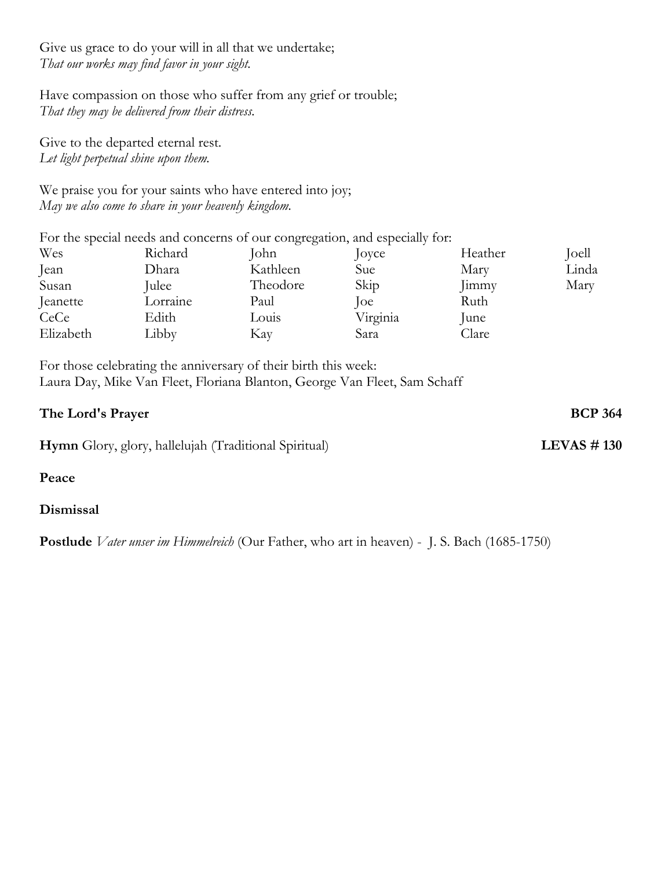Give us grace to do your will in all that we undertake; *That our works may find favor in your sight.*

Have compassion on those who suffer from any grief or trouble; *That they may be delivered from their distress.*

Give to the departed eternal rest. *Let light perpetual shine upon them.*

We praise you for your saints who have entered into joy; *May we also come to share in your heavenly kingdom.*

|           | For the special needs and concerns of our congregation, and especially for: |          |          |         |       |
|-----------|-----------------------------------------------------------------------------|----------|----------|---------|-------|
| Wes       | Richard                                                                     | John     | Joyce    | Heather | Joell |
| Jean      | Dhara                                                                       | Kathleen | Sue      | Mary    | Linda |
| Susan     | Julee                                                                       | Theodore | Skip     | Jimmy   | Mary  |
| Jeanette  | Lorraine                                                                    | Paul     | Joe      | Ruth    |       |
| CeCe      | Edith                                                                       | Louis    | Virginia | June    |       |
| Elizabeth | Libby                                                                       | Kay      | Sara     | Clare   |       |

For those celebrating the anniversary of their birth this week: Laura Day, Mike Van Fleet, Floriana Blanton, George Van Fleet, Sam Schaff

| The Lord's Prayer                                     | <b>BCP 364</b> |
|-------------------------------------------------------|----------------|
| Hymn Glory, glory, hallelujah (Traditional Spiritual) | LEVAS $# 130$  |
| Peace                                                 |                |

**Dismissal** 

**Postlude** *Vater unser im Himmelreich* (Our Father, who art in heaven) - J. S. Bach (1685-1750)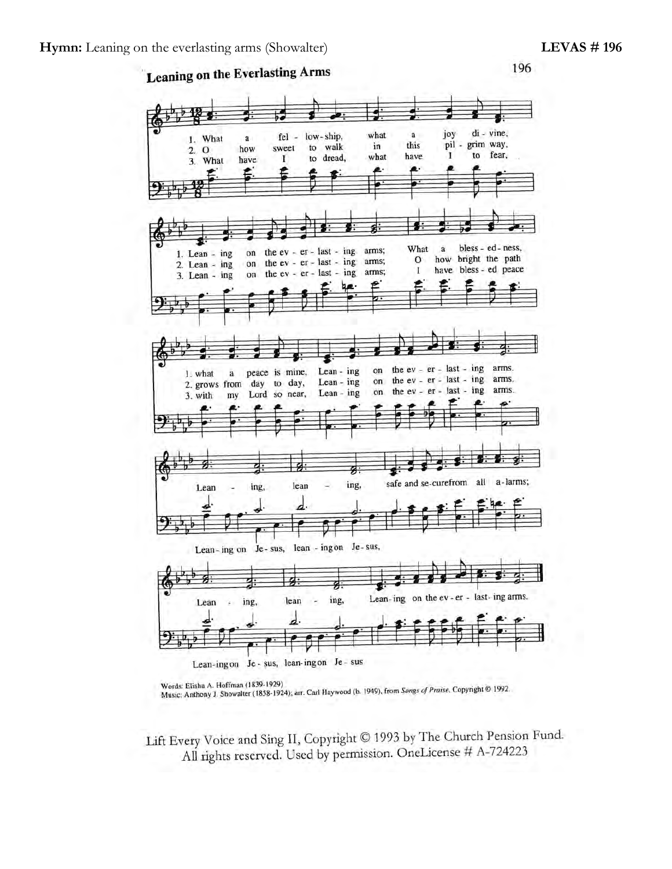

196



Words: Elisha A. Hoffman (1839-1929) Words: Elisha A. Hoffman (1839-1929)<br>Music: Anthony J. Showalter (1858-1924); arr. Carl Haywood (b. 1949), from Songs of Praise, Copyright @ 1992.

Lift Every Voice and Sing II, Copyright © 1993 by The Church Pension Fund. All rights reserved. Used by permission. OneLicense # A-724223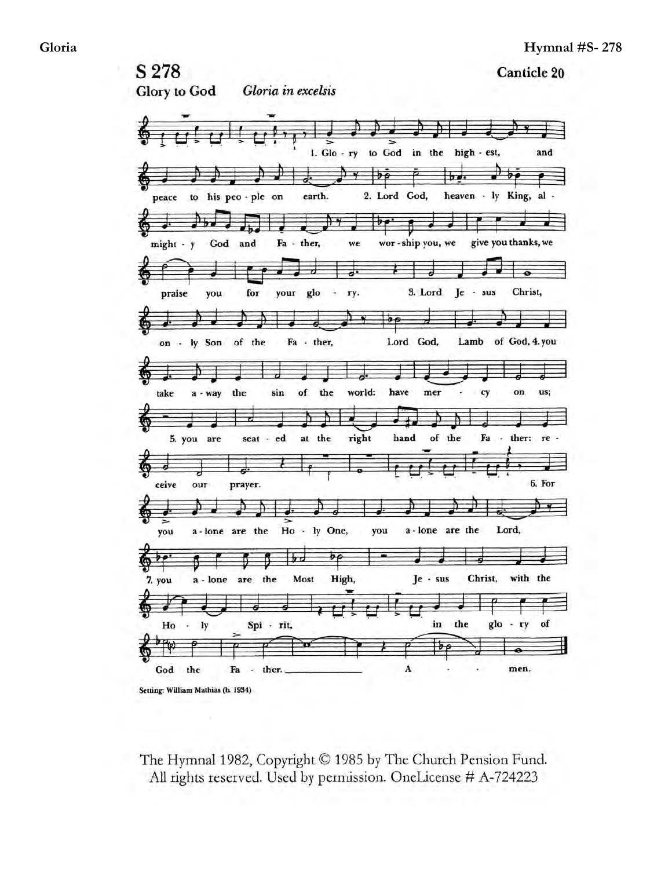

S 278

**Canticle 20** 



The Hymnal 1982, Copyright © 1985 by The Church Pension Fund. All rights reserved. Used by permission. OneLicense # A-724223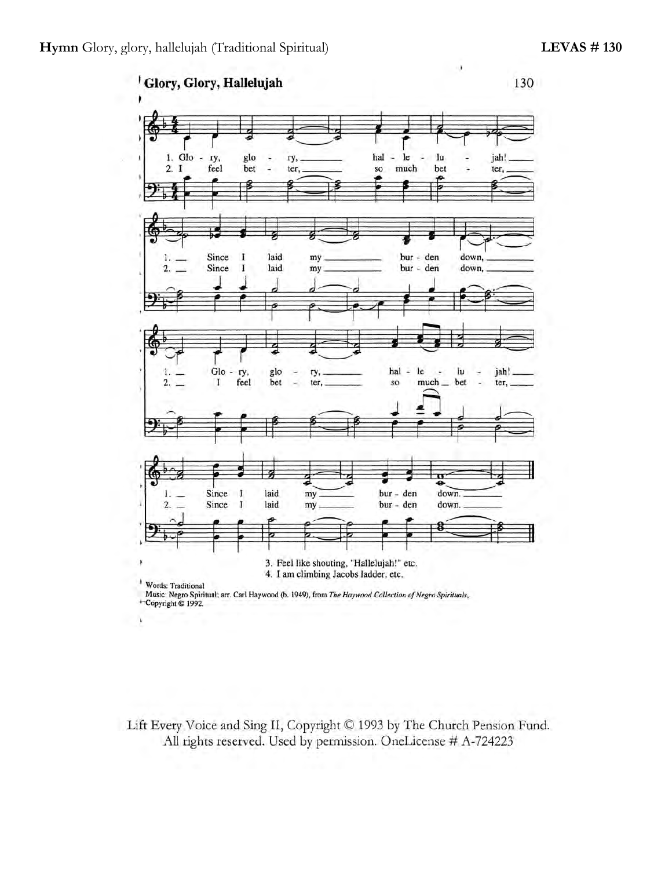¥

![](_page_6_Figure_2.jpeg)

Music: Negro Spiritual; arr. Carl Haywood (b. 1949), from The Haywood Collection of Negro Spirituals, <sup>+-</sup>Copyright © 1992.

Lift Every Voice and Sing II, Copyright © 1993 by The Church Pension Fund. All rights reserved. Used by permission. OneLicense # A-724223